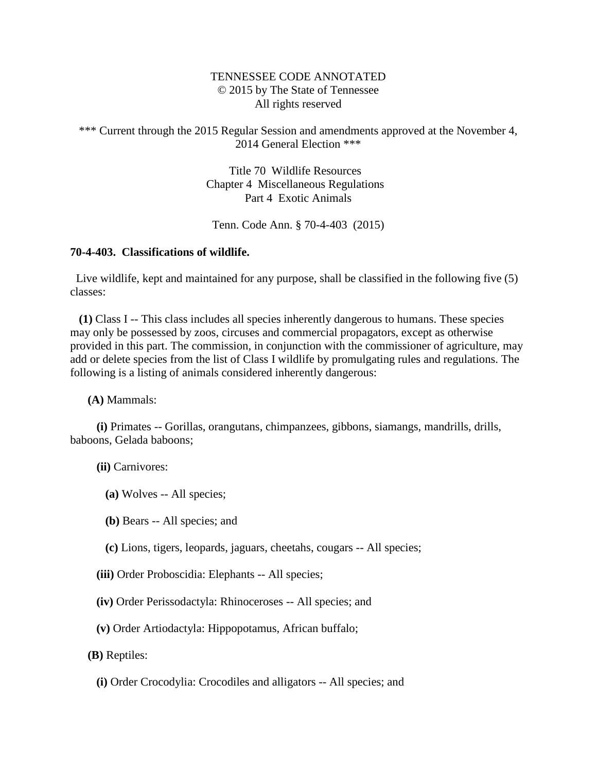## TENNESSEE CODE ANNOTATED © 2015 by The State of Tennessee All rights reserved

\*\*\* Current through the 2015 Regular Session and amendments approved at the November 4, 2014 General Election \*\*\*

> Title 70 Wildlife Resources Chapter 4 Miscellaneous Regulations Part 4 Exotic Animals

Tenn. Code Ann. § 70-4-403 (2015)

## **70-4-403. Classifications of wildlife.**

 Live wildlife, kept and maintained for any purpose, shall be classified in the following five (5) classes:

 **(1)** Class I -- This class includes all species inherently dangerous to humans. These species may only be possessed by zoos, circuses and commercial propagators, except as otherwise provided in this part. The commission, in conjunction with the commissioner of agriculture, may add or delete species from the list of Class I wildlife by promulgating rules and regulations. The following is a listing of animals considered inherently dangerous:

**(A)** Mammals:

 **(i)** Primates -- Gorillas, orangutans, chimpanzees, gibbons, siamangs, mandrills, drills, baboons, Gelada baboons;

**(ii)** Carnivores:

- **(a)** Wolves -- All species;
- **(b)** Bears -- All species; and
- **(c)** Lions, tigers, leopards, jaguars, cheetahs, cougars -- All species;
- **(iii)** Order Proboscidia: Elephants -- All species;
- **(iv)** Order Perissodactyla: Rhinoceroses -- All species; and
- **(v)** Order Artiodactyla: Hippopotamus, African buffalo;
- **(B)** Reptiles:
	- **(i)** Order Crocodylia: Crocodiles and alligators -- All species; and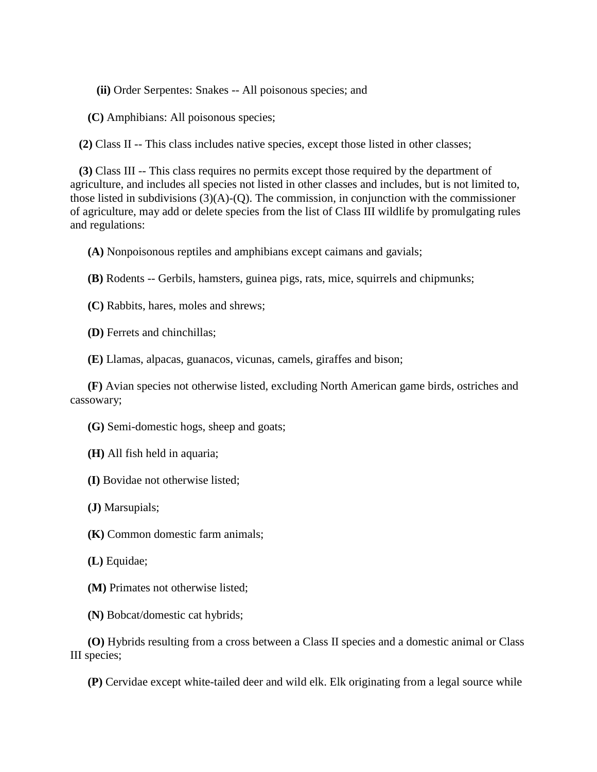**(ii)** Order Serpentes: Snakes -- All poisonous species; and

**(C)** Amphibians: All poisonous species;

**(2)** Class II -- This class includes native species, except those listed in other classes;

 **(3)** Class III -- This class requires no permits except those required by the department of agriculture, and includes all species not listed in other classes and includes, but is not limited to, those listed in subdivisions  $(3)(A)-(Q)$ . The commission, in conjunction with the commissioner of agriculture, may add or delete species from the list of Class III wildlife by promulgating rules and regulations:

**(A)** Nonpoisonous reptiles and amphibians except caimans and gavials;

**(B)** Rodents -- Gerbils, hamsters, guinea pigs, rats, mice, squirrels and chipmunks;

**(C)** Rabbits, hares, moles and shrews;

**(D)** Ferrets and chinchillas;

**(E)** Llamas, alpacas, guanacos, vicunas, camels, giraffes and bison;

 **(F)** Avian species not otherwise listed, excluding North American game birds, ostriches and cassowary;

**(G)** Semi-domestic hogs, sheep and goats;

**(H)** All fish held in aquaria;

**(I)** Bovidae not otherwise listed;

**(J)** Marsupials;

**(K)** Common domestic farm animals;

**(L)** Equidae;

**(M)** Primates not otherwise listed;

**(N)** Bobcat/domestic cat hybrids;

 **(O)** Hybrids resulting from a cross between a Class II species and a domestic animal or Class III species;

**(P)** Cervidae except white-tailed deer and wild elk. Elk originating from a legal source while